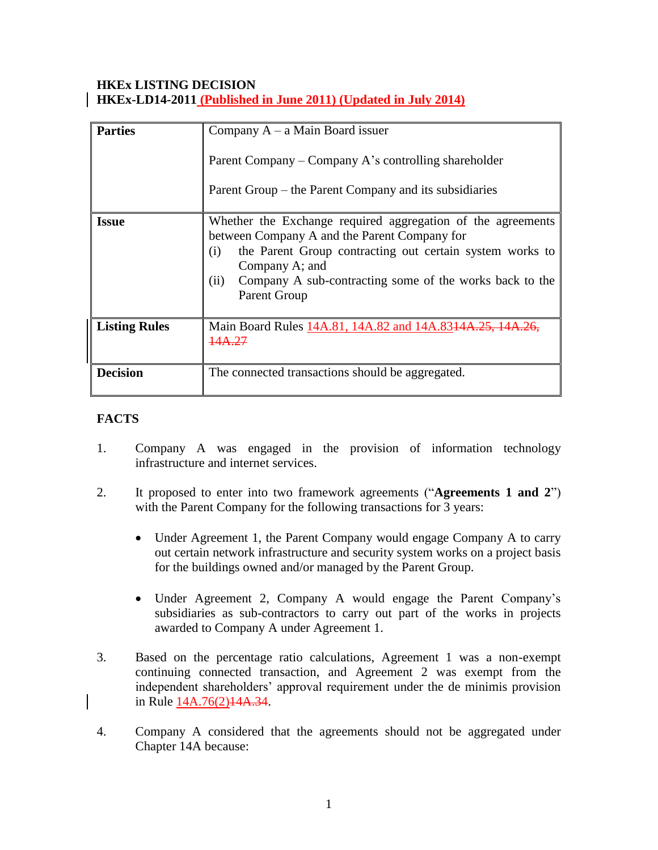## **HKEx LISTING DECISION HKEx-LD14-2011 (Published in June 2011) (Updated in July 2014)**

| <b>Parties</b>       | Company $A - a$ Main Board issuer<br>Parent Company – Company A's controlling shareholder<br>Parent Group – the Parent Company and its subsidiaries                                                                                                                                 |
|----------------------|-------------------------------------------------------------------------------------------------------------------------------------------------------------------------------------------------------------------------------------------------------------------------------------|
| <b>Issue</b>         | Whether the Exchange required aggregation of the agreements<br>between Company A and the Parent Company for<br>the Parent Group contracting out certain system works to<br>(i)<br>Company A; and<br>Company A sub-contracting some of the works back to the<br>(ii)<br>Parent Group |
| <b>Listing Rules</b> | Main Board Rules 14A.81, 14A.82 and 14A.8314A.25, 14A.26<br>14A.27                                                                                                                                                                                                                  |
| <b>Decision</b>      | The connected transactions should be aggregated.                                                                                                                                                                                                                                    |

# **FACTS**

- 1. Company A was engaged in the provision of information technology infrastructure and internet services.
- 2. It proposed to enter into two framework agreements ("**Agreements 1 and 2**") with the Parent Company for the following transactions for 3 years:
	- Under Agreement 1, the Parent Company would engage Company A to carry out certain network infrastructure and security system works on a project basis for the buildings owned and/or managed by the Parent Group.
	- Under Agreement 2, Company A would engage the Parent Company's subsidiaries as sub-contractors to carry out part of the works in projects awarded to Company A under Agreement 1.
- 3. Based on the percentage ratio calculations, Agreement 1 was a non-exempt continuing connected transaction, and Agreement 2 was exempt from the independent shareholders' approval requirement under the de minimis provision in Rule 14A.76(2)14A.34.
- 4. Company A considered that the agreements should not be aggregated under Chapter 14A because: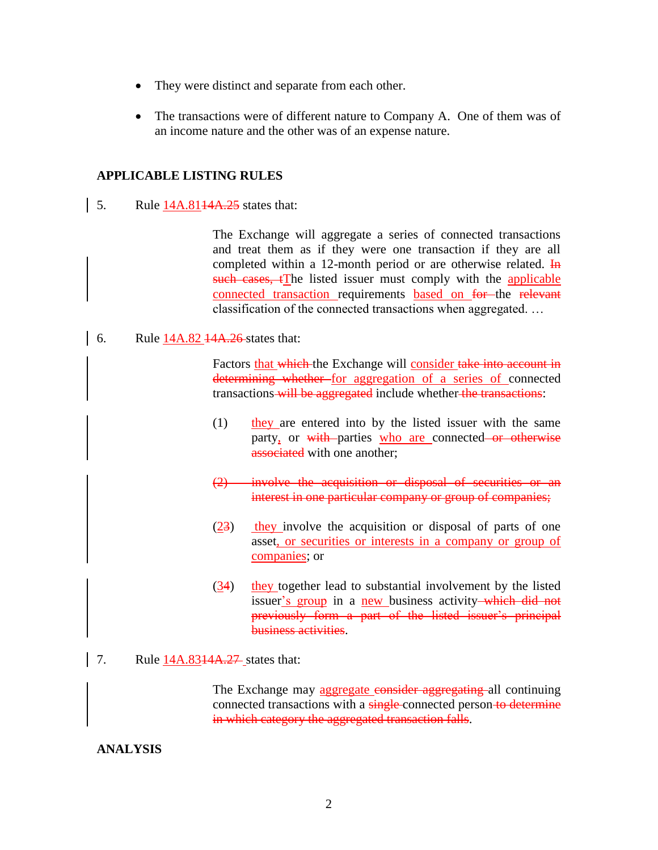- They were distinct and separate from each other.
- The transactions were of different nature to Company A. One of them was of an income nature and the other was of an expense nature.

### **APPLICABLE LISTING RULES**

5. Rule  $14A.8114A.25$  states that:

The Exchange will aggregate a series of connected transactions and treat them as if they were one transaction if they are all completed within a 12-month period or are otherwise related.  $\overline{I}$ such cases, tThe listed issuer must comply with the applicable connected transaction requirements based on for the relevant classification of the connected transactions when aggregated. …

6. Rule 14A.82 <del>14A.26</del> states that:

Factors that which the Exchange will consider take into account in determining whether for aggregation of a series of connected transactions will be aggregated include whether the transactions:

- $(1)$  they are entered into by the listed issuer with the same party, or with-parties who are connected or otherwise associated with one another:
- (2) involve the acquisition or disposal of securities or an interest in one particular company or group of companies;
- (23) they involve the acquisition or disposal of parts of one asset, or securities or interests in a company or group of companies; or
- (34) they together lead to substantial involvement by the listed issuer's group in a new business activity—which did not previously form a part of the listed issuer's principal business activities.
- 7. Rule 14A.8314A.27 states that:

The Exchange may aggregate consider aggregating all continuing connected transactions with a single connected person to determine in which category the aggregated transaction falls.

## **ANALYSIS**